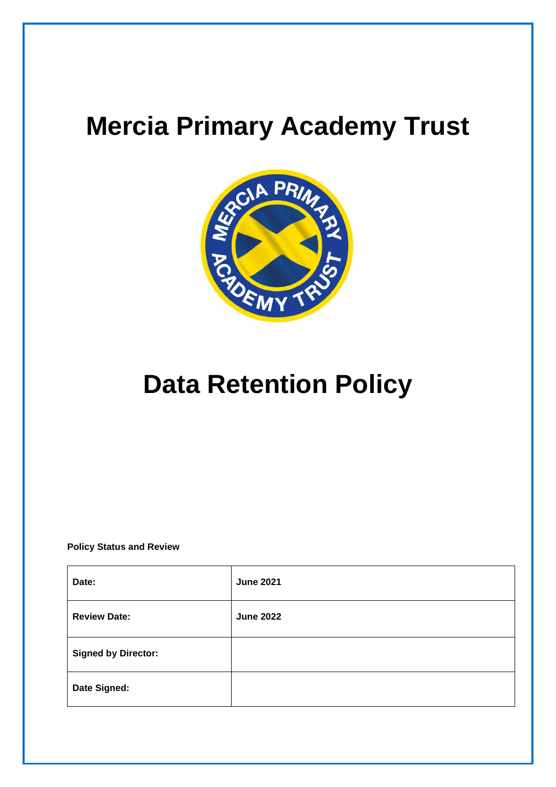## **Mercia Primary Academy Trust**



# **Data Retention Policy**

**Policy Status and Review**

| Date:                      | <b>June 2021</b> |
|----------------------------|------------------|
| <b>Review Date:</b>        | <b>June 2022</b> |
| <b>Signed by Director:</b> |                  |
| Date Signed:               |                  |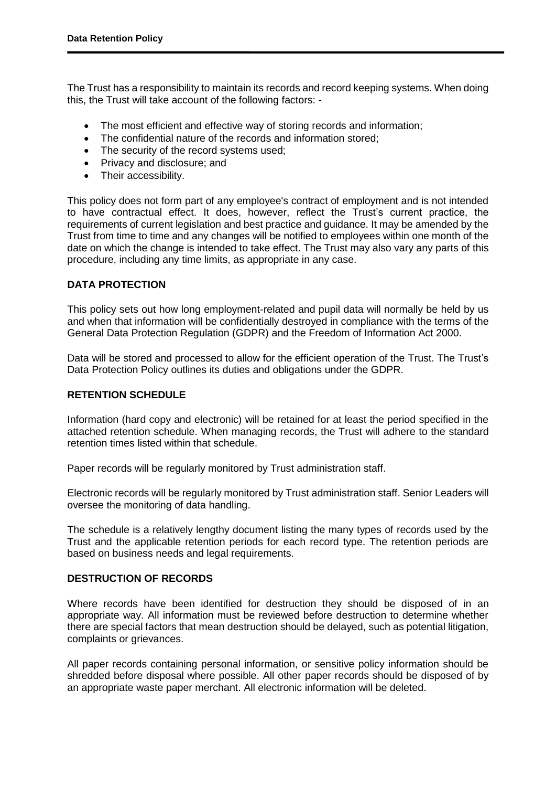The Trust has a responsibility to maintain its records and record keeping systems. When doing this, the Trust will take account of the following factors: -

- The most efficient and effective way of storing records and information;
- The confidential nature of the records and information stored;
- The security of the record systems used;
- Privacy and disclosure; and
- Their accessibility.

This policy does not form part of any employee's contract of employment and is not intended to have contractual effect. It does, however, reflect the Trust's current practice, the requirements of current legislation and best practice and guidance. It may be amended by the Trust from time to time and any changes will be notified to employees within one month of the date on which the change is intended to take effect. The Trust may also vary any parts of this procedure, including any time limits, as appropriate in any case.

## **DATA PROTECTION**

This policy sets out how long employment-related and pupil data will normally be held by us and when that information will be confidentially destroyed in compliance with the terms of the General Data Protection Regulation (GDPR) and the Freedom of Information Act 2000.

Data will be stored and processed to allow for the efficient operation of the Trust. The Trust's Data Protection Policy outlines its duties and obligations under the GDPR.

### **RETENTION SCHEDULE**

Information (hard copy and electronic) will be retained for at least the period specified in the attached retention schedule. When managing records, the Trust will adhere to the standard retention times listed within that schedule.

Paper records will be regularly monitored by Trust administration staff.

Electronic records will be regularly monitored by Trust administration staff. Senior Leaders will oversee the monitoring of data handling.

The schedule is a relatively lengthy document listing the many types of records used by the Trust and the applicable retention periods for each record type. The retention periods are based on business needs and legal requirements.

## **DESTRUCTION OF RECORDS**

Where records have been identified for destruction they should be disposed of in an appropriate way. All information must be reviewed before destruction to determine whether there are special factors that mean destruction should be delayed, such as potential litigation, complaints or grievances.

All paper records containing personal information, or sensitive policy information should be shredded before disposal where possible. All other paper records should be disposed of by an appropriate waste paper merchant. All electronic information will be deleted.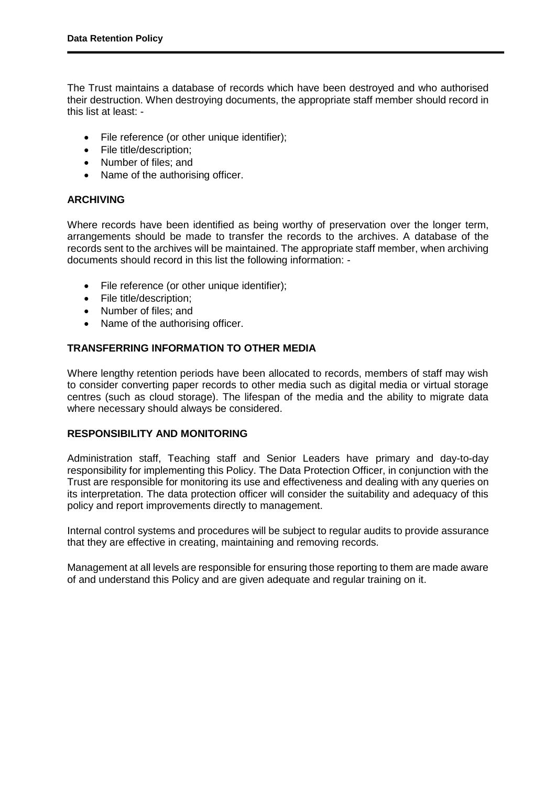The Trust maintains a database of records which have been destroyed and who authorised their destruction. When destroying documents, the appropriate staff member should record in this list at least: -

- File reference (or other unique identifier);
- File title/description:
- Number of files: and
- Name of the authorising officer.

## **ARCHIVING**

Where records have been identified as being worthy of preservation over the longer term, arrangements should be made to transfer the records to the archives. A database of the records sent to the archives will be maintained. The appropriate staff member, when archiving documents should record in this list the following information: -

- File reference (or other unique identifier);
- File title/description;
- Number of files; and
- Name of the authorising officer.

## **TRANSFERRING INFORMATION TO OTHER MEDIA**

Where lengthy retention periods have been allocated to records, members of staff may wish to consider converting paper records to other media such as digital media or virtual storage centres (such as cloud storage). The lifespan of the media and the ability to migrate data where necessary should always be considered.

#### **RESPONSIBILITY AND MONITORING**

Administration staff, Teaching staff and Senior Leaders have primary and day-to-day responsibility for implementing this Policy. The Data Protection Officer, in conjunction with the Trust are responsible for monitoring its use and effectiveness and dealing with any queries on its interpretation. The data protection officer will consider the suitability and adequacy of this policy and report improvements directly to management.

Internal control systems and procedures will be subject to regular audits to provide assurance that they are effective in creating, maintaining and removing records.

Management at all levels are responsible for ensuring those reporting to them are made aware of and understand this Policy and are given adequate and regular training on it.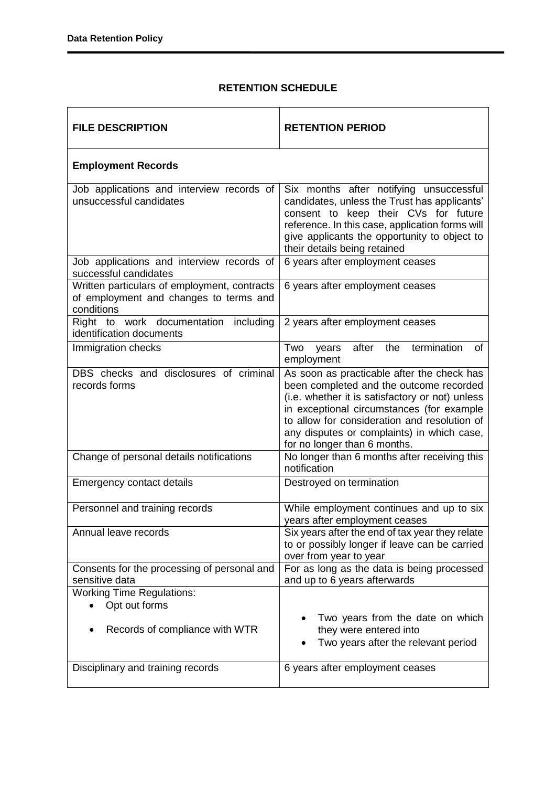## **RETENTION SCHEDULE**

| <b>FILE DESCRIPTION</b>                                                                              | <b>RETENTION PERIOD</b>                                                                                                                                                                                                                                                                                             |  |  |
|------------------------------------------------------------------------------------------------------|---------------------------------------------------------------------------------------------------------------------------------------------------------------------------------------------------------------------------------------------------------------------------------------------------------------------|--|--|
| <b>Employment Records</b>                                                                            |                                                                                                                                                                                                                                                                                                                     |  |  |
| Job applications and interview records of<br>unsuccessful candidates                                 | Six months after notifying unsuccessful<br>candidates, unless the Trust has applicants'<br>consent to keep their CVs for future<br>reference. In this case, application forms will<br>give applicants the opportunity to object to<br>their details being retained                                                  |  |  |
| Job applications and interview records of<br>successful candidates                                   | 6 years after employment ceases                                                                                                                                                                                                                                                                                     |  |  |
| Written particulars of employment, contracts<br>of employment and changes to terms and<br>conditions | 6 years after employment ceases                                                                                                                                                                                                                                                                                     |  |  |
| Right to work documentation including<br>identification documents                                    | 2 years after employment ceases                                                                                                                                                                                                                                                                                     |  |  |
| Immigration checks                                                                                   | after the termination<br>Two<br>years<br>οf<br>employment                                                                                                                                                                                                                                                           |  |  |
| DBS checks and disclosures of criminal<br>records forms                                              | As soon as practicable after the check has<br>been completed and the outcome recorded<br>(i.e. whether it is satisfactory or not) unless<br>in exceptional circumstances (for example<br>to allow for consideration and resolution of<br>any disputes or complaints) in which case,<br>for no longer than 6 months. |  |  |
| Change of personal details notifications                                                             | No longer than 6 months after receiving this<br>notification                                                                                                                                                                                                                                                        |  |  |
| <b>Emergency contact details</b>                                                                     | Destroyed on termination                                                                                                                                                                                                                                                                                            |  |  |
| Personnel and training records                                                                       | While employment continues and up to six<br>years after employment ceases                                                                                                                                                                                                                                           |  |  |
| Annual leave records                                                                                 | Six years after the end of tax year they relate<br>to or possibly longer if leave can be carried<br>over from year to year                                                                                                                                                                                          |  |  |
| Consents for the processing of personal and<br>sensitive data                                        | For as long as the data is being processed<br>and up to 6 years afterwards                                                                                                                                                                                                                                          |  |  |
| <b>Working Time Regulations:</b><br>Opt out forms<br>Records of compliance with WTR                  | Two years from the date on which<br>they were entered into<br>Two years after the relevant period                                                                                                                                                                                                                   |  |  |
| Disciplinary and training records                                                                    | 6 years after employment ceases                                                                                                                                                                                                                                                                                     |  |  |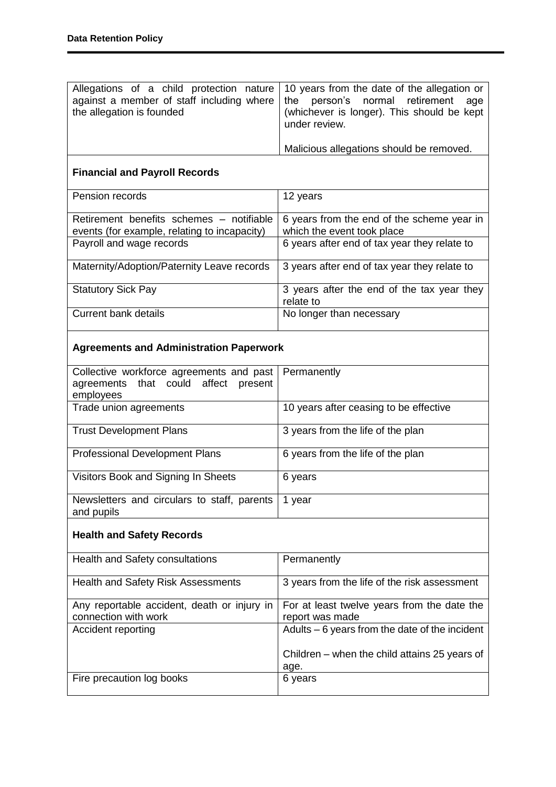| Allegations of a child protection nature<br>against a member of staff including where<br>the allegation is founded | 10 years from the date of the allegation or<br>the<br>person's normal retirement<br>age<br>(whichever is longer). This should be kept<br>under review. |  |
|--------------------------------------------------------------------------------------------------------------------|--------------------------------------------------------------------------------------------------------------------------------------------------------|--|
|                                                                                                                    | Malicious allegations should be removed.                                                                                                               |  |
| <b>Financial and Payroll Records</b>                                                                               |                                                                                                                                                        |  |
| Pension records                                                                                                    | 12 years                                                                                                                                               |  |
| Retirement benefits schemes - notifiable<br>events (for example, relating to incapacity)                           | 6 years from the end of the scheme year in<br>which the event took place                                                                               |  |
| Payroll and wage records                                                                                           | 6 years after end of tax year they relate to                                                                                                           |  |
| Maternity/Adoption/Paternity Leave records                                                                         | 3 years after end of tax year they relate to                                                                                                           |  |
| <b>Statutory Sick Pay</b>                                                                                          | 3 years after the end of the tax year they<br>relate to                                                                                                |  |
| <b>Current bank details</b>                                                                                        | No longer than necessary                                                                                                                               |  |
| <b>Agreements and Administration Paperwork</b>                                                                     |                                                                                                                                                        |  |
| Collective workforce agreements and past<br>agreements that could<br>affect<br>present<br>employees                | Permanently                                                                                                                                            |  |
| Trade union agreements                                                                                             | 10 years after ceasing to be effective                                                                                                                 |  |
| <b>Trust Development Plans</b>                                                                                     | 3 years from the life of the plan                                                                                                                      |  |
| <b>Professional Development Plans</b>                                                                              | 6 years from the life of the plan                                                                                                                      |  |
| Visitors Book and Signing In Sheets                                                                                | 6 years                                                                                                                                                |  |
| Newsletters and circulars to staff, parents<br>and pupils                                                          | 1 year                                                                                                                                                 |  |
| <b>Health and Safety Records</b>                                                                                   |                                                                                                                                                        |  |
| Health and Safety consultations                                                                                    | Permanently                                                                                                                                            |  |
| Health and Safety Risk Assessments                                                                                 | 3 years from the life of the risk assessment                                                                                                           |  |
| Any reportable accident, death or injury in<br>connection with work                                                | For at least twelve years from the date the<br>report was made                                                                                         |  |
| Accident reporting                                                                                                 | Adults $-6$ years from the date of the incident                                                                                                        |  |
|                                                                                                                    | Children – when the child attains 25 years of<br>age.                                                                                                  |  |
| Fire precaution log books                                                                                          | 6 years                                                                                                                                                |  |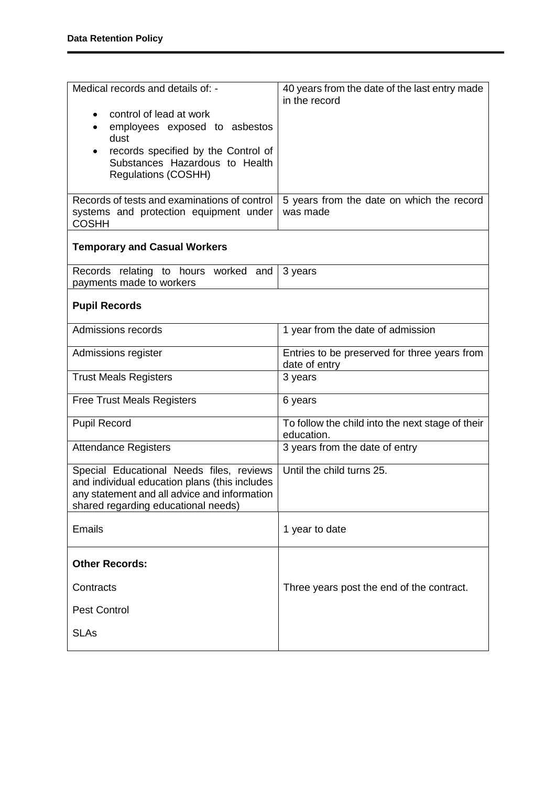| Medical records and details of: -<br>control of lead at work<br>employees exposed to asbestos<br>dust<br>records specified by the Control of<br>Substances Hazardous to Health<br><b>Regulations (COSHH)</b><br>Records of tests and examinations of control<br>systems and protection equipment under<br><b>COSHH</b> | 40 years from the date of the last entry made<br>in the record<br>5 years from the date on which the record<br>was made |  |  |
|------------------------------------------------------------------------------------------------------------------------------------------------------------------------------------------------------------------------------------------------------------------------------------------------------------------------|-------------------------------------------------------------------------------------------------------------------------|--|--|
| <b>Temporary and Casual Workers</b>                                                                                                                                                                                                                                                                                    |                                                                                                                         |  |  |
| Records relating to hours worked and<br>payments made to workers                                                                                                                                                                                                                                                       | 3 years                                                                                                                 |  |  |
| <b>Pupil Records</b>                                                                                                                                                                                                                                                                                                   |                                                                                                                         |  |  |
| Admissions records                                                                                                                                                                                                                                                                                                     | 1 year from the date of admission                                                                                       |  |  |
| Admissions register                                                                                                                                                                                                                                                                                                    | Entries to be preserved for three years from<br>date of entry                                                           |  |  |
| <b>Trust Meals Registers</b>                                                                                                                                                                                                                                                                                           | 3 years                                                                                                                 |  |  |
| <b>Free Trust Meals Registers</b>                                                                                                                                                                                                                                                                                      | 6 years                                                                                                                 |  |  |
| <b>Pupil Record</b>                                                                                                                                                                                                                                                                                                    | To follow the child into the next stage of their<br>education.                                                          |  |  |
| <b>Attendance Registers</b>                                                                                                                                                                                                                                                                                            | 3 years from the date of entry                                                                                          |  |  |
| Special Educational Needs files, reviews<br>and individual education plans (this includes<br>any statement and all advice and information<br>shared regarding educational needs)                                                                                                                                       | Until the child turns 25.                                                                                               |  |  |
| <b>Emails</b>                                                                                                                                                                                                                                                                                                          | 1 year to date                                                                                                          |  |  |
| <b>Other Records:</b>                                                                                                                                                                                                                                                                                                  |                                                                                                                         |  |  |
| Contracts                                                                                                                                                                                                                                                                                                              | Three years post the end of the contract.                                                                               |  |  |
| <b>Pest Control</b>                                                                                                                                                                                                                                                                                                    |                                                                                                                         |  |  |
| <b>SLAs</b>                                                                                                                                                                                                                                                                                                            |                                                                                                                         |  |  |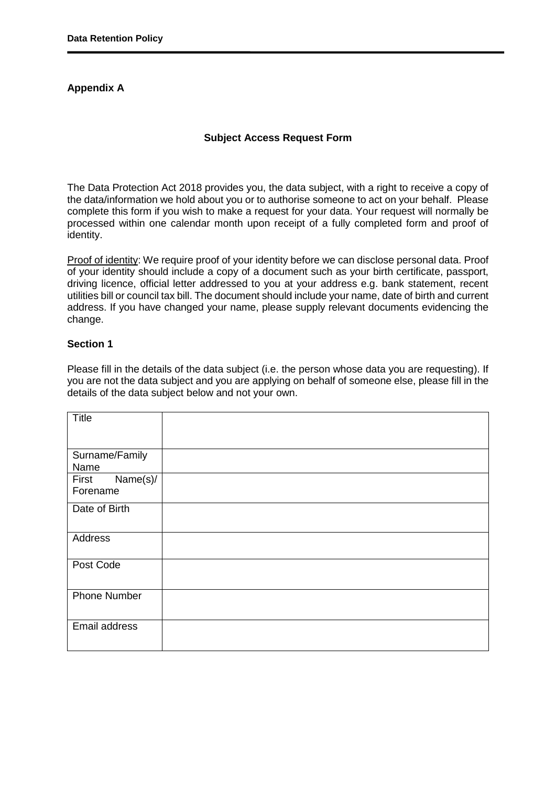## **Appendix A**

#### **Subject Access Request Form**

The Data Protection Act 2018 provides you, the data subject, with a right to receive a copy of the data/information we hold about you or to authorise someone to act on your behalf. Please complete this form if you wish to make a request for your data. Your request will normally be processed within one calendar month upon receipt of a fully completed form and proof of identity.

Proof of identity: We require proof of your identity before we can disclose personal data. Proof of your identity should include a copy of a document such as your birth certificate, passport, driving licence, official letter addressed to you at your address e.g. bank statement, recent utilities bill or council tax bill. The document should include your name, date of birth and current address. If you have changed your name, please supply relevant documents evidencing the change.

## **Section 1**

Please fill in the details of the data subject (i.e. the person whose data you are requesting). If you are not the data subject and you are applying on behalf of someone else, please fill in the details of the data subject below and not your own.

| <b>Title</b>                  |  |
|-------------------------------|--|
| Surname/Family<br>Name        |  |
| Name(s)/<br>First<br>Forename |  |
| Date of Birth                 |  |
| Address                       |  |
| Post Code                     |  |
| <b>Phone Number</b>           |  |
| Email address                 |  |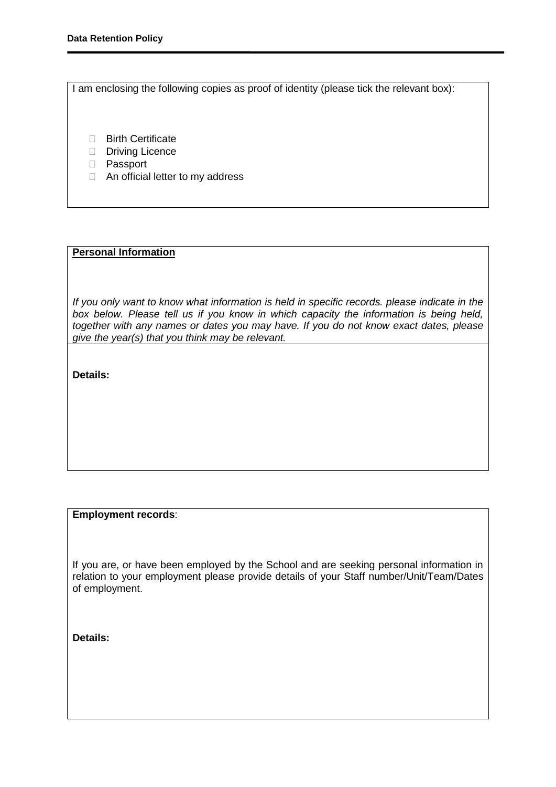I am enclosing the following copies as proof of identity (please tick the relevant box):

- **Birth Certificate**
- Driving Licence
- Passport
- □ An official letter to my address

## **Personal Information**

*If you only want to know what information is held in specific records. please indicate in the box below. Please tell us if you know in which capacity the information is being held, together with any names or dates you may have. If you do not know exact dates, please give the year(s) that you think may be relevant.* 

**Details:** 

#### **Employment records**:

If you are, or have been employed by the School and are seeking personal information in relation to your employment please provide details of your Staff number/Unit/Team/Dates of employment.

**Details:**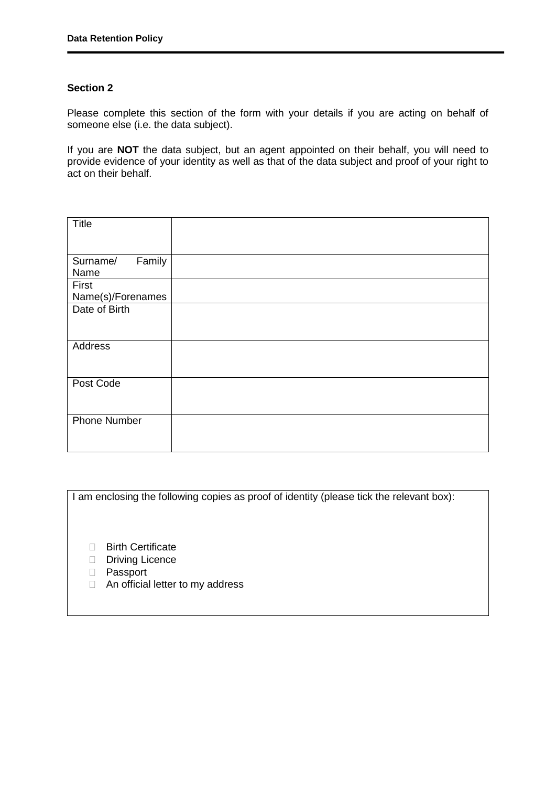## **Section 2**

Please complete this section of the form with your details if you are acting on behalf of someone else (i.e. the data subject).

If you are **NOT** the data subject, but an agent appointed on their behalf, you will need to provide evidence of your identity as well as that of the data subject and proof of your right to act on their behalf.

| <b>Title</b>               |  |
|----------------------------|--|
|                            |  |
| Family<br>Surname/<br>Name |  |
| First                      |  |
| Name(s)/Forenames          |  |
| Date of Birth              |  |
|                            |  |
|                            |  |
| Address                    |  |
|                            |  |
|                            |  |
| Post Code                  |  |
|                            |  |
|                            |  |
| <b>Phone Number</b>        |  |
|                            |  |
|                            |  |

I am enclosing the following copies as proof of identity (please tick the relevant box):

- **Birth Certificate**
- Driving Licence
- D Passport
- □ An official letter to my address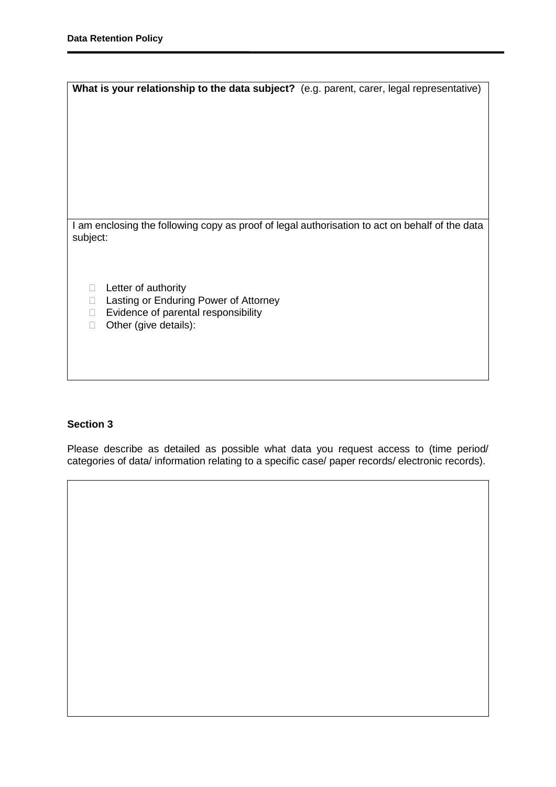| What is your relationship to the data subject? (e.g. parent, carer, legal representative)      |  |
|------------------------------------------------------------------------------------------------|--|
|                                                                                                |  |
|                                                                                                |  |
|                                                                                                |  |
|                                                                                                |  |
|                                                                                                |  |
|                                                                                                |  |
|                                                                                                |  |
|                                                                                                |  |
|                                                                                                |  |
| I am enclosing the following copy as proof of legal authorisation to act on behalf of the data |  |
| subject:                                                                                       |  |
|                                                                                                |  |
|                                                                                                |  |
|                                                                                                |  |
| Letter of authority<br>$\mathbb{R}^n$                                                          |  |
| Lasting or Enduring Power of Attorney<br>П                                                     |  |
| Evidence of parental responsibility<br>$\mathbb{R}^n$                                          |  |
| Other (give details):<br>п                                                                     |  |
|                                                                                                |  |
|                                                                                                |  |
|                                                                                                |  |

## **Section 3**

Please describe as detailed as possible what data you request access to (time period/ categories of data/ information relating to a specific case/ paper records/ electronic records).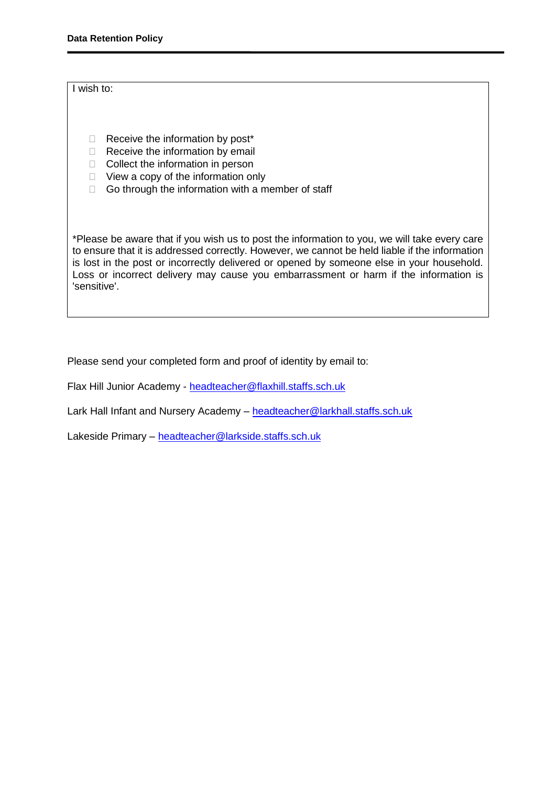### I wish to:

- $\Box$  Receive the information by post\*
- $\Box$  Receive the information by email
- $\Box$  Collect the information in person
- $\Box$  View a copy of the information only
- $\Box$  Go through the information with a member of staff

\*Please be aware that if you wish us to post the information to you, we will take every care to ensure that it is addressed correctly. However, we cannot be held liable if the information is lost in the post or incorrectly delivered or opened by someone else in your household. Loss or incorrect delivery may cause you embarrassment or harm if the information is 'sensitive'.

Please send your completed form and proof of identity by email to:

Flax Hill Junior Academy - [headteacher@flaxhill.staffs.sch.uk](mailto:headteacher@flaxhill.staffs.sch.uk)

Lark Hall Infant and Nursery Academy – [headteacher@larkhall.staffs.sch.uk](mailto:headteacher@larkhall.staffs.sch.uk)

Lakeside Primary - [headteacher@larkside.staffs.sch.uk](mailto:headteacher@larkside.staffs.sch.uk)